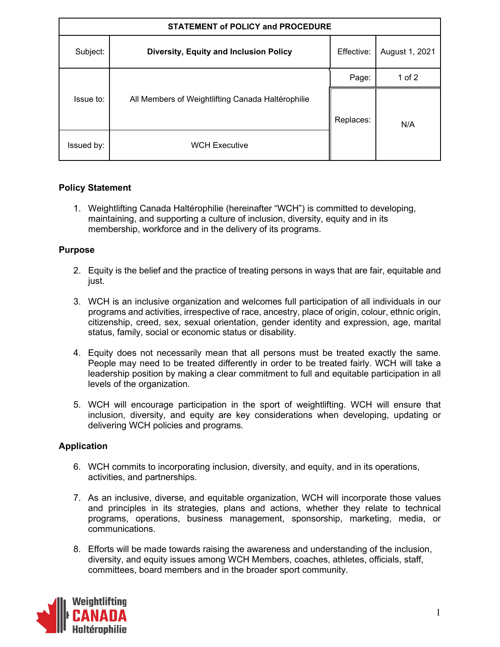| <b>STATEMENT of POLICY and PROCEDURE</b> |                                                   |            |                |  |  |
|------------------------------------------|---------------------------------------------------|------------|----------------|--|--|
| Subject:                                 | Diversity, Equity and Inclusion Policy            | Effective: | August 1, 2021 |  |  |
| Issue to:                                | All Members of Weightlifting Canada Haltérophilie | Page:      | 1 of $2$       |  |  |
|                                          |                                                   | Replaces:  | N/A            |  |  |
| Issued by:                               | <b>WCH Executive</b>                              |            |                |  |  |

## **Policy Statement**

1. Weightlifting Canada Haltérophilie (hereinafter "WCH") is committed to developing, maintaining, and supporting a culture of inclusion, diversity, equity and in its membership, workforce and in the delivery of its programs.

## **Purpose**

- 2. Equity is the belief and the practice of treating persons in ways that are fair, equitable and just.
- 3. WCH is an inclusive organization and welcomes full participation of all individuals in our programs and activities, irrespective of race, ancestry, place of origin, colour, ethnic origin, citizenship, creed, sex, sexual orientation, gender identity and expression, age, marital status, family, social or economic status or disability.
- 4. Equity does not necessarily mean that all persons must be treated exactly the same. People may need to be treated differently in order to be treated fairly. WCH will take a leadership position by making a clear commitment to full and equitable participation in all levels of the organization.
- 5. WCH will encourage participation in the sport of weightlifting. WCH will ensure that inclusion, diversity, and equity are key considerations when developing, updating or delivering WCH policies and programs.

## **Application**

- 6. WCH commits to incorporating inclusion, diversity, and equity, and in its operations, activities, and partnerships.
- 7. As an inclusive, diverse, and equitable organization, WCH will incorporate those values and principles in its strategies, plans and actions, whether they relate to technical programs, operations, business management, sponsorship, marketing, media, or communications.
- 8. Efforts will be made towards raising the awareness and understanding of the inclusion, diversity, and equity issues among WCH Members, coaches, athletes, officials, staff, committees, board members and in the broader sport community.